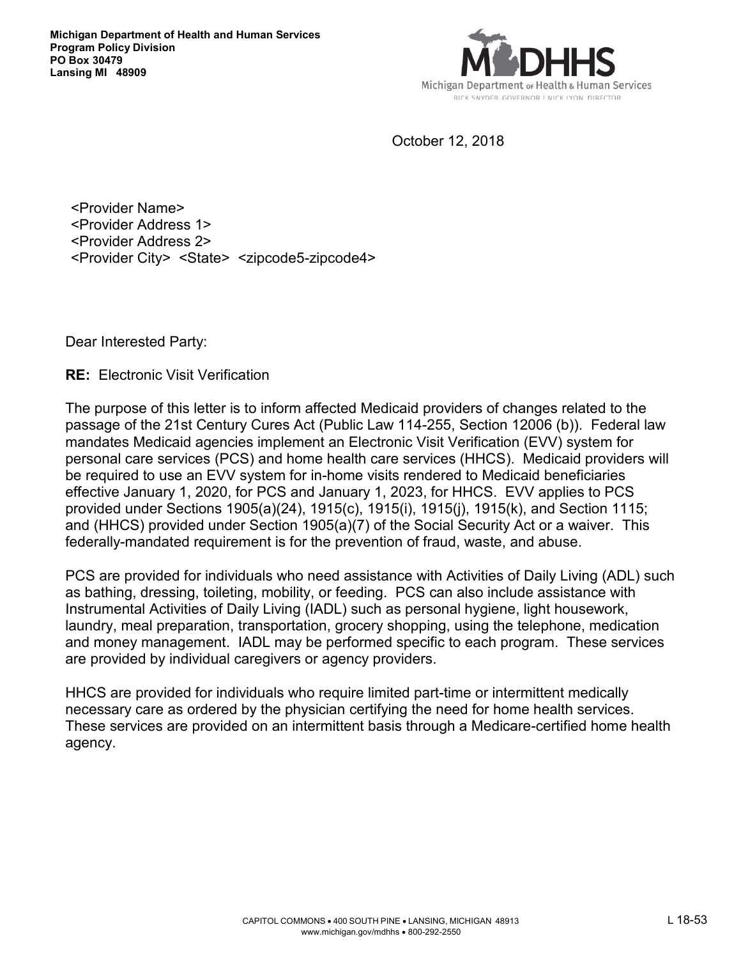

October 12, 2018

<Provider Name> <Provider Address 1> <Provider Address 2> <Provider City> <State> <zipcode5-zipcode4>

Dear Interested Party:

**RE:** Electronic Visit Verification

The purpose of this letter is to inform affected Medicaid providers of changes related to the passage of the 21st Century Cures Act (Public Law 114-255, Section 12006 (b)). Federal law mandates Medicaid agencies implement an Electronic Visit Verification (EVV) system for personal care services (PCS) and home health care services (HHCS). Medicaid providers will be required to use an EVV system for in-home visits rendered to Medicaid beneficiaries effective January 1, 2020, for PCS and January 1, 2023, for HHCS. EVV applies to PCS provided under Sections 1905(a)(24), 1915(c), 1915(i), 1915(j), 1915(k), and Section 1115; and (HHCS) provided under Section 1905(a)(7) of the Social Security Act or a waiver. This federally-mandated requirement is for the prevention of fraud, waste, and abuse.

PCS are provided for individuals who need assistance with Activities of Daily Living (ADL) such as bathing, dressing, toileting, mobility, or feeding. PCS can also include assistance with Instrumental Activities of Daily Living (IADL) such as personal hygiene, light housework, laundry, meal preparation, transportation, grocery shopping, using the telephone, medication and money management. IADL may be performed specific to each program. These services are provided by individual caregivers or agency providers.

HHCS are provided for individuals who require limited part-time or intermittent medically necessary care as ordered by the physician certifying the need for home health services. These services are provided on an intermittent basis through a Medicare-certified home health agency.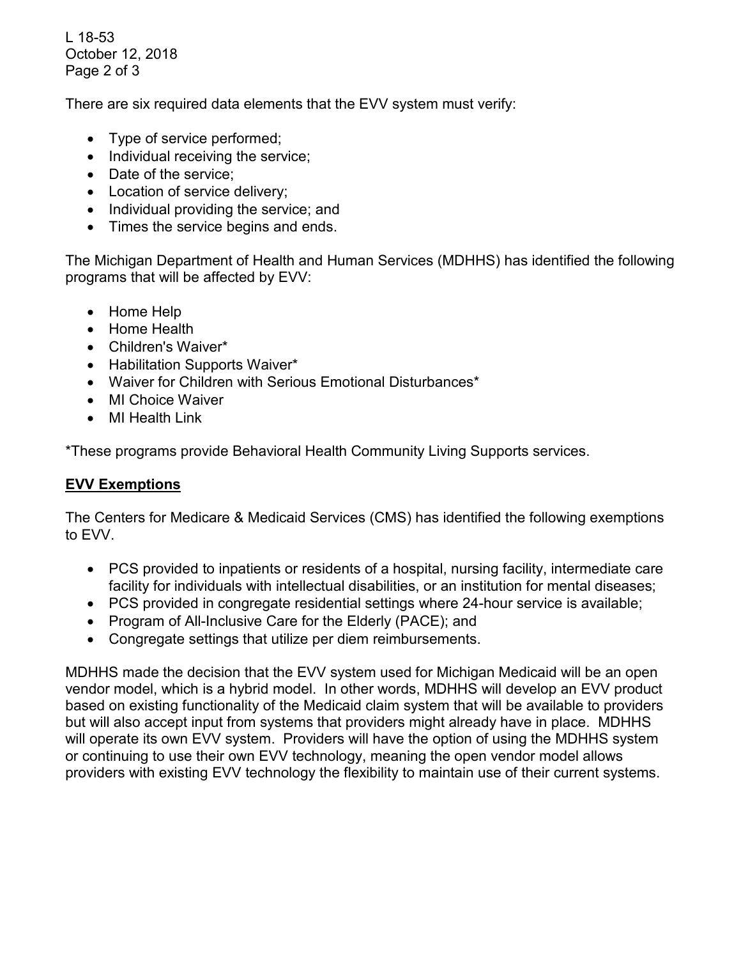L 18-53 October 12, 2018 Page 2 of 3

There are six required data elements that the EVV system must verify:

- Type of service performed;
- Individual receiving the service;
- Date of the service;
- Location of service delivery;
- Individual providing the service; and
- Times the service begins and ends.

The Michigan Department of Health and Human Services (MDHHS) has identified the following programs that will be affected by EVV:

- Home Help
- Home Health
- Children's Waiver\*
- Habilitation Supports Waiver\*
- Waiver for Children with Serious Emotional Disturbances\*
- MI Choice Waiver
- MI Health Link

\*These programs provide Behavioral Health Community Living Supports services.

## **EVV Exemptions**

The Centers for Medicare & Medicaid Services (CMS) has identified the following exemptions to EVV.

- PCS provided to inpatients or residents of a hospital, nursing facility, intermediate care facility for individuals with intellectual disabilities, or an institution for mental diseases;
- PCS provided in congregate residential settings where 24-hour service is available;
- Program of All-Inclusive Care for the Elderly (PACE); and
- Congregate settings that utilize per diem reimbursements.

MDHHS made the decision that the EVV system used for Michigan Medicaid will be an open vendor model, which is a hybrid model. In other words, MDHHS will develop an EVV product based on existing functionality of the Medicaid claim system that will be available to providers but will also accept input from systems that providers might already have in place. MDHHS will operate its own EVV system. Providers will have the option of using the MDHHS system or continuing to use their own EVV technology, meaning the open vendor model allows providers with existing EVV technology the flexibility to maintain use of their current systems.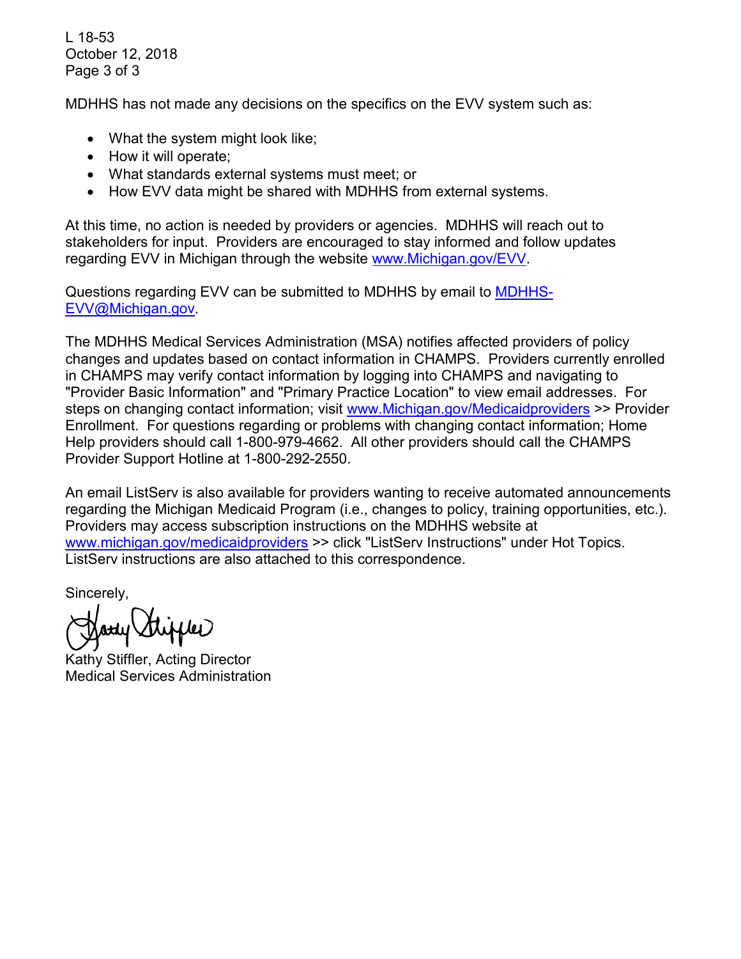L 18-53 October 12, 2018 Page 3 of 3

MDHHS has not made any decisions on the specifics on the EVV system such as:

- What the system might look like;
- How it will operate;
- What standards external systems must meet; or
- How EVV data might be shared with MDHHS from external systems.

At this time, no action is needed by providers or agencies. MDHHS will reach out to stakeholders for input. Providers are encouraged to stay informed and follow updates regarding EVV in Michigan through the website [www.Michigan.gov/EVV.](http://www.michigan.gov/EVV)

Questions regarding EVV can be submitted to MDHHS by email to [MDHHS-](mailto:MDHHS-EVV@Michigan.gov)[EVV@Michigan.gov.](mailto:MDHHS-EVV@Michigan.gov)

The MDHHS Medical Services Administration (MSA) notifies affected providers of policy changes and updates based on contact information in CHAMPS. Providers currently enrolled in CHAMPS may verify contact information by logging into CHAMPS and navigating to "Provider Basic Information" and "Primary Practice Location" to view email addresses. For steps on changing contact information; visit [www.Michigan.gov/Medicaidproviders](http://www.michigan.gov/Medicaidproviders) >> Provider Enrollment. For questions regarding or problems with changing contact information; Home Help providers should call 1-800-979-4662. All other providers should call the CHAMPS Provider Support Hotline at 1-800-292-2550.

An email ListServ is also available for providers wanting to receive automated announcements regarding the Michigan Medicaid Program (i.e., changes to policy, training opportunities, etc.). Providers may access subscription instructions on the MDHHS website at [www.michigan.gov/medicaidproviders](http://www.michigan.gov/medicaidproviders) >> click "ListServ Instructions" under Hot Topics. ListServ instructions are also attached to this correspondence.

Sincerely,

**inder** 

Kathy Stiffler, Acting Director Medical Services Administration